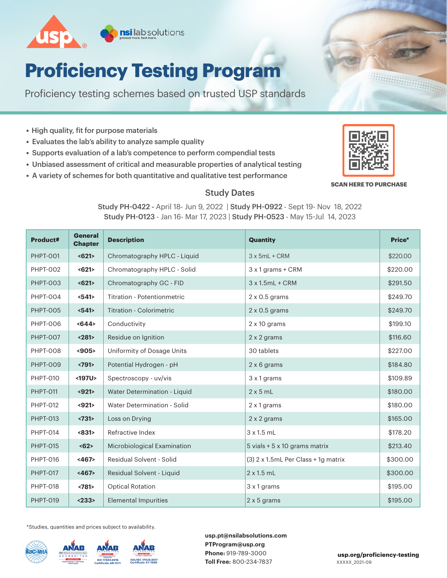

# **Proficiency Testing Program**

Proficiency testing schemes based on trusted USP standards

- High quality, fit for purpose materials
- Evaluates the lab's ability to analyze sample quality
- Supports evaluation of a lab's competence to perform compendial tests
- Unbiased assessment of critical and measurable properties of analytical testing
- A variety of schemes for both quantitative and qualitative test performance



**BRANCH AND REAL PROPERTY** 

#### **SCAN HERE TO PURCHASE**

#### Study Dates

Study PH-0422 - April 18- Jun 9, 2022 | Study PH-0922 - Sept 19- Nov 18, 2022 Study PH-0123 - Jan 16- Mar 17, 2023 | Study PH-0523 - May 15-Jul 14, 2023

| Product#        | <b>General</b><br><b>Chapter</b> | <b>Description</b>              | <b>Quantity</b>                     | Price*   |
|-----------------|----------------------------------|---------------------------------|-------------------------------------|----------|
| <b>PHPT-001</b> | $621$                            | Chromatography HPLC - Liquid    | $3x$ 5mL + CRM                      | \$220.00 |
| <b>PHPT-002</b> | $621$                            | Chromatography HPLC - Solid     | 3 x 1 grams + CRM                   | \$220.00 |
| <b>PHPT-003</b> | $621$                            | Chromatography GC - FID         | $3x1.5mL + CRM$                     | \$291.50 |
| <b>PHPT-004</b> | <541>                            | Titration - Potentionmetric     | $2 \times 0.5$ grams                | \$249.70 |
| <b>PHPT-005</b> | $541$                            | <b>Titration - Colorimetric</b> | $2 \times 0.5$ grams                | \$249.70 |
| <b>PHPT-006</b> | $644$                            | Conductivity                    | $2 \times 10$ grams                 | \$199.10 |
| <b>PHPT-007</b> | $281$                            | Residue on Ignition             | 2 x 2 grams                         | \$116.60 |
| <b>PHPT-008</b> | < 905                            | Uniformity of Dosage Units      | 30 tablets                          | \$227.00 |
| <b>PHPT-009</b> | <791                             | Potential Hydrogen - pH         | 2 x 6 grams                         | \$184.80 |
| <b>PHPT-010</b> | <197U>                           | Spectroscopy - uv/vis           | 3 x 1 grams                         | \$109.89 |
| <b>PHPT-011</b> | $921$                            | Water Determination - Liquid    | $2 \times 5$ mL                     | \$180.00 |
| <b>PHPT-012</b> | $921$                            | Water Determination - Solid     | 2 x 1 grams                         | \$180.00 |
| <b>PHPT-013</b> | <731                             | Loss on Drying                  | 2 x 2 grams                         | \$165.00 |
| PHPT-014        | <831>                            | Refractive Index                | 3x1.5mL                             | \$178.20 |
| <b>PHPT-015</b> | $\langle 62 \rangle$             | Microbiological Examination     | 5 vials + 5 x 10 grams matrix       | \$213.40 |
| <b>PHPT-016</b> | <467>                            | Residual Solvent - Solid        | (3) 2 x 1.5mL Per Class + 1g matrix | \$300.00 |
| <b>PHPT-017</b> | <467>                            | Residual Solvent - Liquid       | $2 \times 1.5$ mL                   | \$300.00 |
| <b>PHPT-018</b> | <781                             | <b>Optical Rotation</b>         | 3 x 1 grams                         | \$195.00 |
| <b>PHPT-019</b> | < 233                            | <b>Elemental Impurities</b>     | 2 x 5 grams                         | \$195.00 |

\*Studies, quantities and prices subject to availability.



**usp.pt@nsilabsolutions.com PTProgram@usp.org Phone:** 919-789-3000 **Toll Free:** 800-234-7837

XXXXX\_2021-09 **usp.org/proficiency-testing**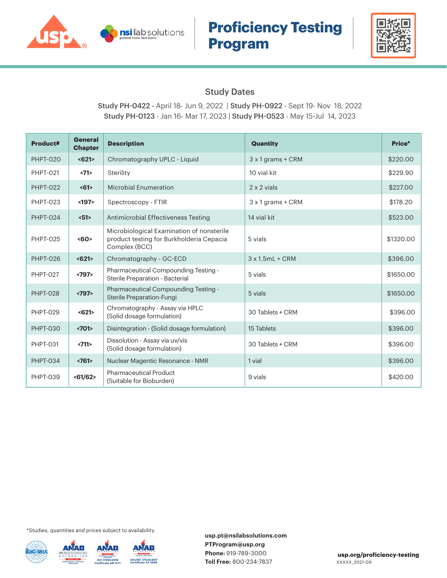

## **Proficiency Testing Program**



#### Study Dates

Study PH-0422 - April 18- Jun 9, 2022 | Study PH-0922 - Sept 19- Nov 18, 2022 Study PH-0123 - Jan 16- Mar 17, 2023 | Study PH-0523 - May 15-Jul 14, 2023

| Product#        | <b>General</b><br><b>Chapter</b> | <b>Description</b>                                                                                     | <b>Quantity</b>          | Price*    |
|-----------------|----------------------------------|--------------------------------------------------------------------------------------------------------|--------------------------|-----------|
| <b>PHPT-020</b> | < 621>                           | Chromatography UPLC - Liquid                                                                           | $3 \times 1$ grams + CRM | \$220.00  |
| <b>PHPT-021</b> | <71>                             | Sterility                                                                                              | 10 vial kit              | \$229.90  |
| <b>PHPT-022</b> | <61>                             | <b>Microbial Enumeration</b>                                                                           | 2 x 2 vials              | \$227.00  |
| <b>PHPT-023</b> | $197$                            | Spectroscopy - FTIR                                                                                    | $3 \times 1$ grams + CRM | \$178.20  |
| <b>PHPT-024</b> | $51$                             | Antimicrobial Effectiveness Testing                                                                    | 14 vial kit              | \$523.00  |
| <b>PHPT-025</b> | <60>                             | Microbiological Examination of nonsterile<br>product testing for Burkholderia Cepacia<br>Complex (BCC) | 5 vials                  | \$1320.00 |
| <b>PHPT-026</b> | $621$                            | Chromatography - GC-ECD                                                                                | $3x1.5mL + CRM$          | \$396.00  |
| <b>PHPT-027</b> | <797                             | Pharmaceutical Compounding Testing -<br>Sterile Preparation - Bacterial                                | 5 vials                  | \$1650.00 |
| <b>PHPT-028</b> | <797                             | Pharmaceutical Compounding Testing -<br>Sterile Preparation-Fungi                                      | 5 vials                  | \$1650.00 |
| <b>PHPT-029</b> | $621$                            | Chromatography - Assay via HPLC<br>(Solid dosage formulation)                                          | 30 Tablets + CRM         | \$396.00  |
| <b>PHPT-030</b> | <701                             | Disintegration - (Solid dosage formulation)                                                            | 15 Tablets               | \$396.00  |
| <b>PHPT-031</b> | <711>                            | Dissolution - Assay via uv/vis<br>(Solid dosage formulation)                                           | 30 Tablets + CRM         | \$396.00  |
| <b>PHPT-034</b> | <761                             | Nuclear Magentic Resonance - NMR                                                                       | 1 vial                   | \$396.00  |
| <b>PHPT-039</b> | $61/62$                          | <b>Pharmaceutical Product</b><br>(Suitable for Bioburden)                                              | 9 vials                  | \$420.00  |

\*Studies, quantities and prices subject to availability.

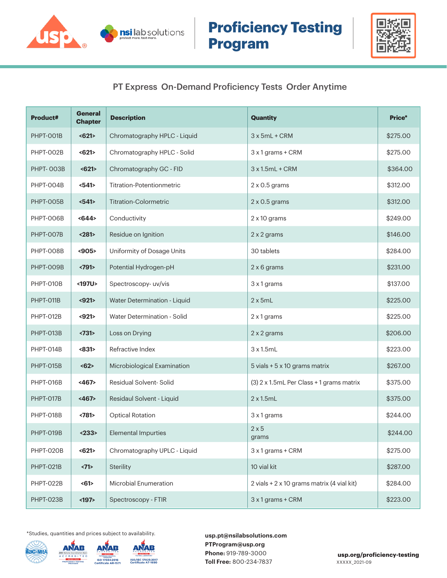



### PT Express On-Demand Proficiency Tests Order Anytime

| <b>Product#</b> | <b>General</b><br><b>Chapter</b> | <b>Description</b>           | <b>Quantity</b>                            | Price*   |
|-----------------|----------------------------------|------------------------------|--------------------------------------------|----------|
| PHPT-OO1B       | $621$                            | Chromatography HPLC - Liquid | $3x$ 5mL + CRM                             | \$275.00 |
| PHPT-002B       | $621$                            | Chromatography HPLC - Solid  | 3 x 1 grams + CRM                          | \$275.00 |
| PHPT-003B       | $621$                            | Chromatography GC - FID      | $3x1.5mL + CRM$                            | \$364.00 |
| PHPT-004B       | $541$                            | Titration-Potentionmetric    | $2 \times 0.5$ grams                       | \$312.00 |
| PHPT-005B       | $541$                            | <b>Titration-Colormetric</b> | $2 \times 0.5$ grams                       | \$312.00 |
| PHPT-OO6B       | $644$                            | Conductivity                 | $2 \times 10$ grams                        | \$249.00 |
| PHPT-OO7B       | $281$                            | Residue on Ignition          | 2 x 2 grams                                | \$146.00 |
| PHPT-OO8B       | $905$                            | Uniformity of Dosage Units   | 30 tablets                                 | \$284.00 |
| PHPT-009B       | <791                             | Potential Hydrogen-pH        | 2 x 6 grams                                | \$231.00 |
| PHPT-010B       | <197U>                           | Spectroscopy-uv/vis          | 3 x 1 grams                                | \$137.00 |
| PHPT-011B       | $921$                            | Water Determination - Liquid | $2 \times 5mL$                             | \$225.00 |
| PHPT-012B       | $921$                            | Water Determination - Solid  | 2 x 1 grams                                | \$225.00 |
| PHPT-013B       | <731                             | Loss on Drying               | 2 x 2 grams                                | \$206.00 |
| PHPT-014B       | <831>                            | Refractive Index             | 3x1.5mL                                    | \$223.00 |
| PHPT-015B       | $62$                             | Microbiological Examination  | 5 vials + 5 x 10 grams matrix              | \$267.00 |
| PHPT-016B       | <467>                            | Residual Solvent-Solid       | (3) 2 x 1.5mL Per Class + 1 grams matrix   | \$375.00 |
| PHPT-017B       | <467>                            | Residaul Solvent - Liquid    | $2 \times 1.5$ mL                          | \$375.00 |
| PHPT-018B       | $781$                            | <b>Optical Rotation</b>      | 3 x 1 grams                                | \$244.00 |
| PHPT-019B       | < 233                            | <b>Elemental Impurties</b>   | $2 \times 5$<br>grams                      | \$244.00 |
| PHPT-020B       | $621$                            | Chromatography UPLC - Liquid | 3 x 1 grams + CRM                          | \$275.00 |
| PHPT-021B       | <71>                             | Sterility                    | 10 vial kit                                | \$287.00 |
| PHPT-022B       | <61>                             | Microbial Enumeration        | 2 vials + 2 x 10 grams matrix (4 vial kit) | \$284.00 |
| PHPT-023B       | $197$                            | Spectroscopy - FTIR          | 3 x 1 grams + CRM                          | \$223.00 |

\*Studies, quantities and prices subject to availability.

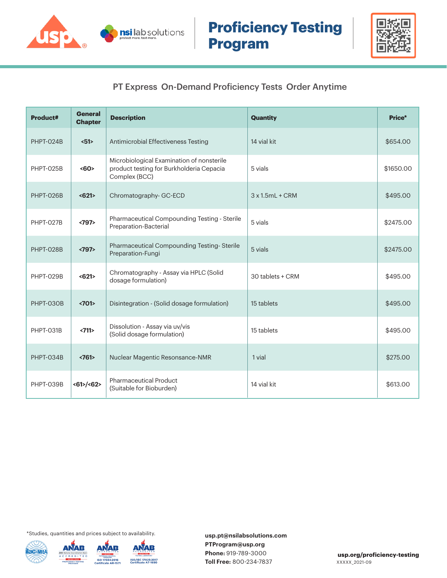



#### PT Express On-Demand Proficiency Tests Order Anytime

| Product#  | <b>General</b><br><b>Chapter</b> | <b>Description</b>                                                                                     | <b>Quantity</b>         | Price*    |
|-----------|----------------------------------|--------------------------------------------------------------------------------------------------------|-------------------------|-----------|
| PHPT-024B | 51                               | Antimicrobial Effectiveness Testing                                                                    | 14 vial kit             | \$654.00  |
| PHPT-025B | <60                              | Microbiological Examination of nonsterile<br>product testing for Burkholderia Cepacia<br>Complex (BCC) | 5 vials                 | \$1650.00 |
| PHPT-026B | $621$                            | Chromatography- GC-ECD                                                                                 | $3 \times 1.5$ ml + CRM | \$495.00  |
| PHPT-027B | <797                             | Pharmaceutical Compounding Testing - Sterile<br>Preparation-Bacterial                                  | 5 vials                 | \$2475.00 |
| PHPT-028B | <797                             | Pharmaceutical Compounding Testing-Sterile<br>Preparation-Fungi                                        | 5 vials                 | \$2475.00 |
| PHPT-029B | $621$                            | Chromatography - Assay via HPLC (Solid<br>dosage formulation)                                          | 30 tablets + CRM        | \$495.00  |
| PHPT-030B | <701                             | Disintegration - (Solid dosage formulation)                                                            | 15 tablets              | \$495.00  |
| PHPT-031B | <711>                            | Dissolution - Assay via uv/vis<br>(Solid dosage formulation)                                           | 15 tablets              | \$495.00  |
| PHPT-034B | <761                             | Nuclear Magentic Resonsance-NMR                                                                        | 1 vial                  | \$275.00  |
| PHPT-039B | $<61$ /<62>                      | <b>Pharmaceutical Product</b><br>(Suitable for Bioburden)                                              | 14 vial kit             | \$613.00  |

\*Studies, quantities and prices subject to availability.